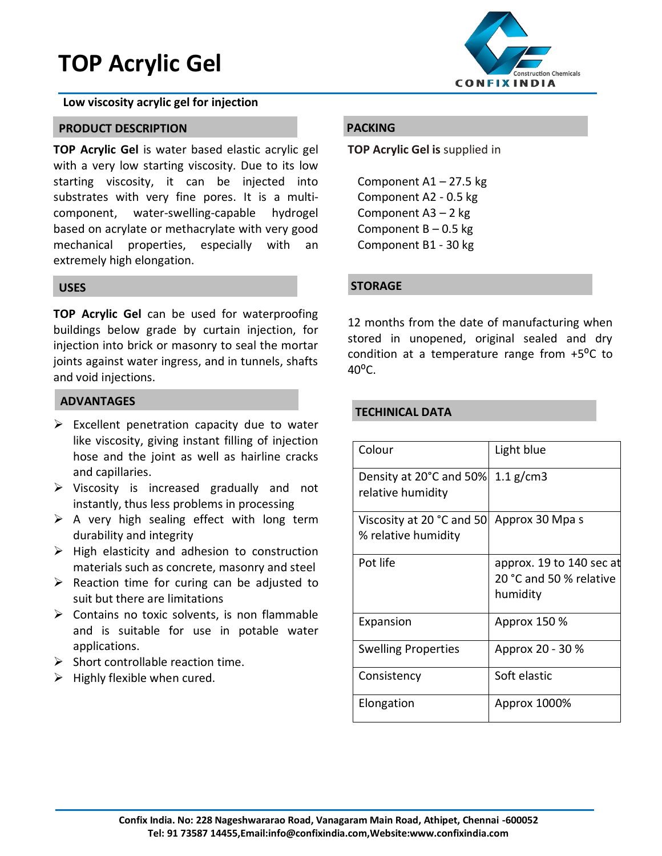# **TOP Acrylic Gel**

#### **Low viscosity acrylic gel for injection**

#### **PRODUCT DESCRIPTION**

**TOP Acrylic Gel** is water based elastic acrylic gel with a very low starting viscosity. Due to its low starting viscosity, it can be injected into substrates with very fine pores. It is a multicomponent, water-swelling-capable hydrogel based on acrylate or methacrylate with very good mechanical properties, especially with an extremely high elongation.

#### **USES**

**TOP Acrylic Gel** can be used for waterproofing buildings below grade by curtain injection, for injection into brick or masonry to seal the mortar joints against water ingress, and in tunnels, shafts and void injections.

### **ADVANTAGES**

- > Excellent penetration capacity due to water like viscosity, giving instant filling of injection hose and the joint as well as hairline cracks and capillaries.
- $\triangleright$  Viscosity is increased gradually and not instantly, thus less problems in processing
- $\triangleright$  A very high sealing effect with long term durability and integrity
- $\triangleright$  High elasticity and adhesion to construction materials such as concrete, masonry and steel
- $\triangleright$  Reaction time for curing can be adjusted to suit but there are limitations
- $\triangleright$  Contains no toxic solvents, is non flammable and is suitable for use in potable water applications.
- $\triangleright$  Short controllable reaction time.
- $\triangleright$  Highly flexible when cured.



## **PACKING**

**TOP Acrylic Gel is** supplied in

Component A1 – 27.5 kg Component A2 - 0.5 kg Component A3 – 2 kg Component  $B - 0.5$  kg Component B1 - 30 kg

#### **STORAGE**

12 months from the date of manufacturing when stored in unopened, original sealed and dry condition at a temperature range from  $+5^{\circ}$ C to  $40^{\circ}$ C.

## **TECHINICAL DATA**

| Colour                                           | Light blue                                                      |
|--------------------------------------------------|-----------------------------------------------------------------|
| Density at 20°C and 50%<br>relative humidity     | $1.1$ g/cm3                                                     |
| Viscosity at 20 °C and 50<br>% relative humidity | Approx 30 Mpa s                                                 |
| Pot life                                         | approx. 19 to 140 sec at<br>20 °C and 50 % relative<br>humidity |
| Expansion                                        | Approx 150 %                                                    |
| <b>Swelling Properties</b>                       | Approx 20 - 30 %                                                |
| Consistency                                      | Soft elastic                                                    |
| Elongation                                       | Approx 1000%                                                    |